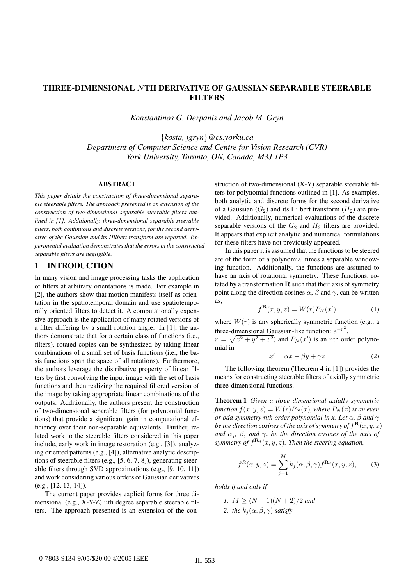# THREE-DIMENSIONAL NTH DERIVATIVE OF GAUSSIAN SEPARABLE STEERABLE **FILTERS**

*Konstantinos G. Derpanis and Jacob M. Gryn*

{*kosta, jgryn*}*@cs.yorku.ca Department of Computer Science and Centre for Vision Research (CVR) York University, Toronto, ON, Canada, M3J 1P3*

#### ABSTRACT

*This paper details the construction of three-dimensional separable steerable filters. The approach presented is an extension of the construction of two-dimensional separable steerable filters outlined in [1]. Additionally, three-dimensional separable steerable filters, both continuous and discrete versions, for the second derivative of the Gaussian and its Hilbert transform are reported. Experimental evaluation demonstrates that the errors in the constructed separable filters are negligible.*

#### 1 INTRODUCTION

In many vision and image processing tasks the application of filters at arbitrary orientations is made. For example in [2], the authors show that motion manifests itself as orientation in the spatiotemporal domain and use spatiotemporally oriented filters to detect it. A computationally expensive approach is the application of many rotated versions of a filter differing by a small rotation angle. In [1], the authors demonstrate that for a certain class of functions (i.e., filters), rotated copies can be synthesized by taking linear combinations of a small set of basis functions (i.e., the basis functions span the space of all rotations). Furthermore, the authors leverage the distributive property of linear filters by first convolving the input image with the set of basis functions and then realizing the required filtered version of the image by taking appropriate linear combinations of the outputs. Additionally, the authors present the construction of two-dimensional separable filters (for polynomial functions) that provide a significant gain in computational efficiency over their non-separable equivalents. Further, related work to the steerable filters considered in this paper include, early work in image restoration (e.g., [3]), analyzing oriented patterns (e.g., [4]), alternative analytic descriptions of steerable filters (e.g., [5, 6, 7, 8]), generating steerable filters through SVD approximations (e.g., [9, 10, 11]) and work considering various orders of Gaussian derivatives (e.g., [12, 13, 14]).

The current paper provides explicit forms for three dimensional (e.g.,  $X-Y-Z$ ) *nth* degree separable steerable filters. The approach presented is an extension of the construction of two-dimensional (X-Y) separable steerable filters for polynomial functions outlined in [1]. As examples, both analytic and discrete forms for the second derivative of a Gaussian  $(G_2)$  and its Hilbert transform  $(H_2)$  are provided. Additionally, numerical evaluations of the discrete separable versions of the  $G_2$  and  $H_2$  filters are provided. It appears that explicit analytic and numerical formulations for these filters have not previously appeared.

In this paper it is assumed that the functions to be steered are of the form of a polynomial times a separable windowing function. Additionally, the functions are assumed to have an axis of rotational symmetry. These functions, rotated by a transformation **R** such that their axis of symmetry point along the direction cosines  $\alpha$ ,  $\beta$  and  $\gamma$ , can be written as,

$$
f^{\mathbf{R}}(x, y, z) = W(r)P_N(x')
$$
 (1)

where  $W(r)$  is any spherically symmetric function (e.g., a three-dimensional Gaussian-like function:  $e^{-r^2}$ ,

 $r = \sqrt{x^2 + y^2 + z^2}$  and  $P_N(x')$  is an *n*th order polynomial in

$$
x' = \alpha x + \beta y + \gamma z \tag{2}
$$

The following theorem (Theorem 4 in [1]) provides the means for constructing steerable filters of axially symmetric three-dimensional functions.

Theorem 1 *Given a three dimensional axially symmetric function*  $f(x, y, z) = W(r)P_N(x)$ *, where*  $P_N(x)$  *is an even or odd symmetry nth order polynomial in x. Let*  $\alpha$ ,  $\beta$  *and*  $\gamma$ *be the direction cosines of the axis of symmetry of*  $f^{\mathbf{R}}(x, y, z)$ *and*  $\alpha_j$ ,  $\beta_j$  *and*  $\gamma_j$  *be the direction cosines of the axis of symmetry of*  $f^{\mathbf{R}_j}(x, y, z)$ *. Then the steering equation,* 

$$
f^{R}(x, y, z) = \sum_{j=1}^{M} k_{j}(\alpha, \beta, \gamma) f^{\mathbf{R}_{j}}(x, y, z),
$$
 (3)

*holds if and only if*

*1.*  $M \geq (N+1)(N+2)/2$  *and 2. the*  $k_i(\alpha, \beta, \gamma)$  *satisfy*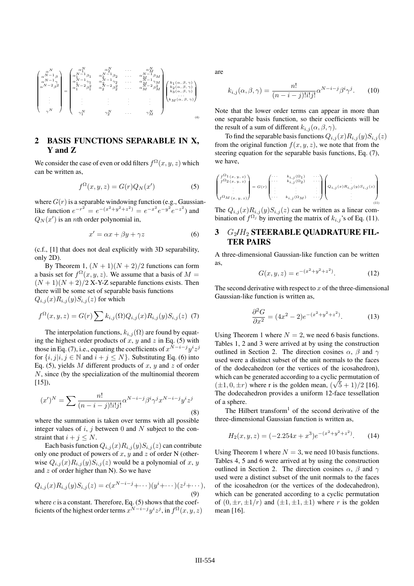

# 2 BASIS FUNCTIONS SEPARABLE IN X, Y and Z

We consider the case of even or odd filters  $f^{\Omega}(x, y, z)$  which can be written as,

$$
f^{\Omega}(x, y, z) = G(r)Q_N(x')
$$
 (5)

where  $G(r)$  is a separable windowing function (e.g., Gaussianlike function  $e^{-r^2} = e^{-(x^2+y^2+z^2)} = e^{-x^2}e^{-y^2}e^{-z^2}$  and  $Q_N(x')$  is an *n*th order polynomial in,

$$
x' = \alpha x + \beta y + \gamma z \tag{6}
$$

(c.f., [1] that does not deal explicitly with 3D separability, only 2D).

By Theorem 1,  $(N + 1)(N + 2)/2$  functions can form a basis set for  $f^{\Omega}(x, y, z)$ . We assume that a basis of  $M =$  $(N + 1)(N + 2)/2$  X-Y-Z separable functions exists. Then there will be some set of separable basis functions  $Q_{i,j}(x)R_{i,j}(y)S_{i,j}(z)$  for which

$$
f^{\Omega}(x, y, z) = G(r) \sum k_{i,j}(\Omega) Q_{i,j}(x) R_{i,j}(y) S_{i,j}(z)
$$
 (7)

The interpolation functions,  $k_{i,j}(\Omega)$  are found by equating the highest order products of  $x$ ,  $y$  and  $z$  in Eq. (5) with those in Eq. (7), i.e., equating the coefficients of  $x^{N-i-j}y^i z^j$ for  $\{i, j | i, j \in \mathbb{N} \text{ and } i + j \leq N\}$ . Substituting Eq. (6) into Eq. (5), yields M different products of x, y and z of order N, since (by the specialization of the multinomial theorem  $[15]$ ,

$$
(x')^N = \sum \frac{n!}{(n-i-j)!i!j!} \alpha^{N-i-j} \beta^i \gamma^j x^{N-i-j} y^i z^j
$$
\n(8)

where the summation is taken over terms with all possible integer values of  $i$ ,  $j$  between 0 and  $N$  subject to the constraint that  $i + j \leq N$ .

Each basis function  $Q_{i,j}(x)R_{i,j}(y)S_{i,j}(z)$  can contribute only one product of powers of x, y and z of order N (otherwise  $Q_{i,j}(x)R_{i,j}(y)S_{i,j}(z)$  would be a polynomial of x, y and  $z$  of order higher than N). So we have

$$
Q_{i,j}(x)R_{i,j}(y)S_{i,j}(z) = c(x^{N-i-j} + \cdots)(y^i + \cdots)(z^j + \cdots),
$$
\n(9)

where  $c$  is a constant. Therefore, Eq. (5) shows that the coefficients of the highest order terms  $x^{N-i-j}y^iz^j$ , in  $f^{\Omega}(x, y, z)$  are

$$
k_{i,j}(\alpha,\beta,\gamma) = \frac{n!}{(n-i-j)!i!j!} \alpha^{N-i-j} \beta^i \gamma^j.
$$
 (10)

Note that the lower order terms can appear in more than one separable basis function, so their coefficients will be the result of a sum of different  $k_{i,j}(\alpha,\beta,\gamma)$ .

To find the separable basis functions  $Q_{i,j}(x)R_{i,j}(y)S_{i,j}(z)$ from the original function  $f(x, y, z)$ , we note that from the steering equation for the separable basis functions, Eq. (7), we have,

$$
\begin{pmatrix} f^{\Omega_1}(x, y, z) \\ f^{\Omega_2}(x, y, z) \\ \vdots \\ f^{\Omega_M}(x, y, z) \end{pmatrix} = G(r) \begin{pmatrix} \cdots & k_{i,j}(\Omega_1) & \cdots \\ \cdots & k_{i,j}(\Omega_2) & \cdots \\ \vdots & \vdots & \ddots \\ \cdots & k_{i,j}(\Omega_M) & \cdots \end{pmatrix} \begin{pmatrix} \vdots \\ Q_{i,j}(x)R_{i,j}(y)S_{i,j}(z) \\ \vdots \\ Q_{i,j}(x)R_{i,j}(y)S_{i,j}(z) \end{pmatrix}
$$
 (1)

The  $Q_{i,j}(x)R_{i,j}(y)S_{i,j}(z)$  can be written as a linear combination of  $f^{\Omega_j}$  by inverting the matrix of  $k_{i,j}$ 's of Eq. (11).

# $3$   $G_2/H_2$  STEERABLE QUADRATURE FIL-TER PAIRS

A three-dimensional Gaussian-like function can be written as,

$$
G(x, y, z) = e^{-(x^2 + y^2 + z^2)}.
$$
 (12)

The second derivative with respect to  $x$  of the three-dimensional Gaussian-like function is written as,

$$
\frac{\partial^2 G}{\partial x^2} = (4x^2 - 2)e^{-(x^2 + y^2 + z^2)}.
$$
 (13)

Using Theorem 1 where  $N = 2$ , we need 6 basis functions. Tables 1, 2 and 3 were arrived at by using the construction outlined in Section 2. The direction cosines  $\alpha$ ,  $\beta$  and  $\gamma$ used were a distinct subset of the unit normals to the faces of the dodecahedron (or the vertices of the icosahedron), which can be generated according to a cyclic permutation of which can be generated according to a cyclic permutation of  $(\pm 1, 0, \pm r)$  where r is the golden mean,  $(\sqrt{5} + 1)/2$  [16]. The dodecahedron provides a uniform 12-face tessellation of a sphere.

The Hilbert transform<sup>1</sup> of the second derivative of the three-dimensional Gaussian function is written as,

$$
H_2(x, y, z) = (-2.254x + x^3)e^{-(x^2 + y^2 + z^2)}.
$$
 (14)

Using Theorem 1 where  $N = 3$ , we need 10 basis functions. Tables 4, 5 and 6 were arrived at by using the construction outlined in Section 2. The direction cosines  $\alpha$ ,  $\beta$  and  $\gamma$ used were a distinct subset of the unit normals to the faces of the icosahedron (or the vertices of the dodecahedron), which can be generated according to a cyclic permutation of  $(0, \pm r, \pm 1/r)$  and  $(\pm 1, \pm 1, \pm 1)$  where r is the golden mean [16].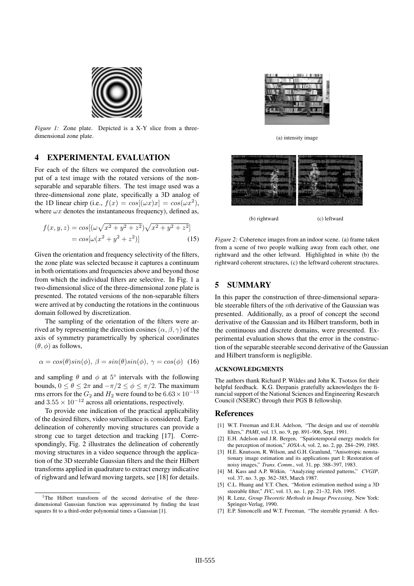

*Figure 1:* Zone plate. Depicted is a X-Y slice from a threedimensional zone plate.

### 4 EXPERIMENTAL EVALUATION

For each of the filters we compared the convolution output of a test image with the rotated versions of the nonseparable and separable filters. The test image used was a three-dimensional zone plate, specifically a 3D analog of the 1D linear chirp (i.e.,  $f(x) = cos[(\omega x)x] = cos(\omega x^2)$ ), where  $\omega x$  denotes the instantaneous frequency), defined as,

$$
f(x, y, z) = cos[(\omega\sqrt{x^2 + y^2 + z^2})\sqrt{x^2 + y^2 + z^2}]
$$
  
=  $cos[\omega(x^2 + y^2 + z^2)]$  (15)

Given the orientation and frequency selectivity of the filters, the zone plate was selected because it captures a continuum in both orientations and frequencies above and beyond those from which the individual filters are selective. In Fig. 1 a two-dimensional slice of the three-dimensional zone plate is presented. The rotated versions of the non-separable filters were arrived at by conducting the rotations in the continuous domain followed by discretization.

The sampling of the orientation of the filters were arrived at by representing the direction cosines  $(\alpha, \beta, \gamma)$  of the axis of symmetry parametrically by spherical coordinates  $(\theta, \phi)$  as follows,

$$
\alpha = \cos(\theta)\sin(\phi), \ \beta = \sin(\theta)\sin(\phi), \ \gamma = \cos(\phi) \tag{16}
$$

and sampling  $\theta$  and  $\phi$  at  $5^{\circ}$  intervals with the following bounds,  $0 \le \theta \le 2\pi$  and  $-\pi/2 \le \phi \le \pi/2$ . The maximum rms errors for the  $G_2$  and  $H_2$  were found to be  $6.63 \times 10^{-13}$ and  $3.55 \times 10^{-12}$  across all orientations, respectively.

To provide one indication of the practical applicability of the desired filters, video surveillance is considered. Early delineation of coherently moving structures can provide a strong cue to target detection and tracking [17]. Correspondingly, Fig. 2 illustrates the delineation of coherently moving structures in a video sequence through the application of the 3D steerable Gaussian filters and the their Hilbert transforms applied in quadrature to extract energy indicative of righward and lefward moving targets, see [18] for details.



(a) intensity image



(b) rightward (c) leftward

*Figure 2:* Coherence images from an indoor scene. (a) frame taken from a scene of two people walking away from each other, one rightward and the other leftward. Highlighted in white (b) the rightward coherent structures, (c) the leftward coherent structures.

### 5 SUMMARY

In this paper the construction of three-dimensional separable steerable filters of the nth derivative of the Gaussian was presented. Additionally, as a proof of concept the second derivative of the Gaussian and its Hilbert transform, both in the continuous and discrete domains, were presented. Experimental evaluation shows that the error in the construction of the separable steerable second derivative of the Gaussian and Hilbert transform is negligible.

#### ACKNOWLEDGMENTS

The authors thank Richard P. Wildes and John K. Tsotsos for their helpful feedback. K.G. Derpanis gratefully acknowledges the financial support of the National Sciences and Engineering Research Council (NSERC) through their PGS B fellowship.

#### References

- [1] W.T. Freeman and E.H. Adelson, "The design and use of steerable filters," *PAMI*, vol. 13, no. 9, pp. 891–906, Sept. 1991.
- [2] E.H. Adelson and J.R. Bergen, "Spatiotemporal energy models for the perception of motion," *JOSA-A*, vol. 2, no. 2, pp. 284–299, 1985.
- [3] H.E. Knutsson, R. Wilson, and G.H. Granlund, "Anisotropic nonstationary image estimation and its applications part I: Restoration of noisy images," *Trans. Comm.*, vol. 31, pp. 388–397, 1983.
- [4] M. Kass and A.P. Witkin, "Analyzing oriented patterns," *CVGIP*, vol. 37, no. 3, pp. 362–385, March 1987.
- [5] C.L. Huang and Y.T. Chen, "Motion estimation method using a 3D steerable filter," *IVC*, vol. 13, no. 1, pp. 21–32, Feb. 1995.
- [6] R. Lenz, *Group Theoretic Methods in Image Processing*, New York: Springer-Verlag, 1990.
- [7] E.P. Simoncelli and W.T. Freeman, "The steerable pyramid: A flex-

<sup>&</sup>lt;sup>1</sup>The Hilbert transform of the second derivative of the threedimensional Gaussian function was approximated by finding the least squares fit to a third-order polynomial times a Gaussian [1].